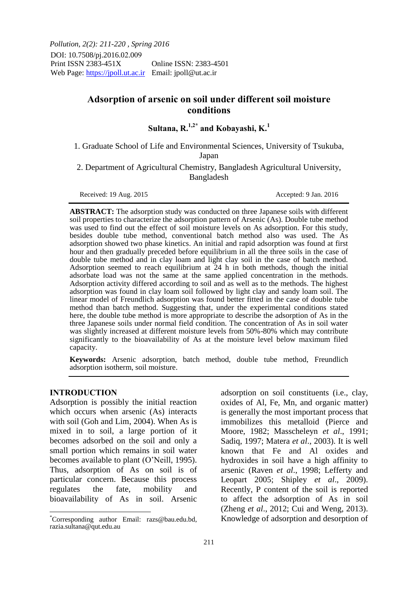*Pollution, 2(2): 211-220 , Spring 2016* DOI: 10.7508/pj.2016.02.009<br>Print ISSN 2383-451X Online ISSN: 2383-4501 Web Page: https://jpoll.ut.ac.ir Email: jpoll@ut.ac.ir

# **Adsorption of arsenic on soil under different soil moisture conditions**

**Sultana, R.1,2\* and Kobayashi, K.<sup>1</sup>**

1. Graduate School of Life and Environmental Sciences, University of Tsukuba, Japan

2. Department of Agricultural Chemistry, Bangladesh Agricultural University, Bangladesh

Received: 19 Aug. 2015 Accepted: 9 Jan. 2016

**ABSTRACT:** The adsorption study was conducted on three Japanese soils with different soil properties to characterize the adsorption pattern of Arsenic (As). Double tube method was used to find out the effect of soil moisture levels on As adsorption. For this study, besides double tube method, conventional batch method also was used. The As adsorption showed two phase kinetics. An initial and rapid adsorption was found at first hour and then gradually preceded before equilibrium in all the three soils in the case of double tube method and in clay loam and light clay soil in the case of batch method. Adsorption seemed to reach equilibrium at 24 h in both methods, though the initial adsorbate load was not the same at the same applied concentration in the methods. Adsorption activity differed according to soil and as well as to the methods. The highest adsorption was found in clay loam soil followed by light clay and sandy loam soil. The linear model of Freundlich adsorption was found better fitted in the case of double tube method than batch method. Suggesting that, under the experimental conditions stated here, the double tube method is more appropriate to describe the adsorption of As in the three Japanese soils under normal field condition. The concentration of As in soil water was slightly increased at different moisture levels from 50%-80% which may contribute significantly to the bioavailability of As at the moisture level below maximum filed capacity.

**Keywords:** Arsenic adsorption, batch method, double tube method, Freundlich adsorption isotherm, soil moisture.

### **INTRODUCTION**

 $\overline{a}$ 

Adsorption is possibly the initial reaction which occurs when arsenic (As) interacts with soil (Goh and Lim, 2004). When As is mixed in to soil, a large portion of it becomes adsorbed on the soil and only a small portion which remains in soil water becomes available to plant (O'Neill, 1995). Thus, adsorption of As on soil is of particular concern. Because this process regulates the fate, mobility and bioavailability of As in soil. Arsenic

adsorption on soil constituents (i.e., clay, oxides of Al, Fe, Mn, and organic matter) is generally the most important process that immobilizes this metalloid (Pierce and Moore, 1982; Masscheleyn *et al*., 1991; Sadiq, 1997; Matera *et al*., 2003). It is well known that Fe and Al oxides and hydroxides in soil have a high affinity to arsenic (Raven *et al*., 1998; Lefferty and Leopart 2005; Shipley *et al*., 2009). Recently, P content of the soil is reported to affect the adsorption of As in soil (Zheng *et al*., 2012; Cui and Weng, 2013). Knowledge of adsorption and desorption of

<sup>\*</sup>Corresponding author Email: razs@bau.edu.bd, razia.sultana@qut.edu.au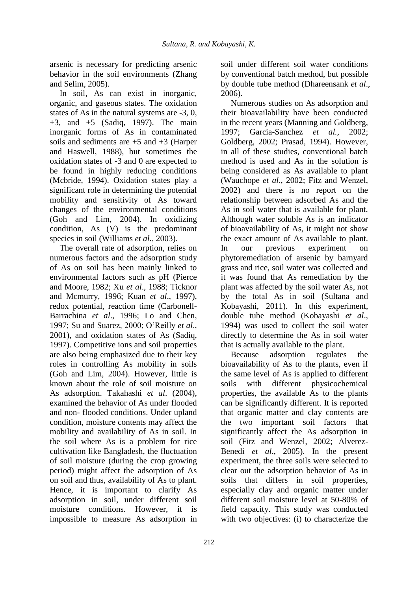arsenic is necessary for predicting arsenic behavior in the soil environments (Zhang and Selim, 2005).

In soil, As can exist in inorganic, organic, and gaseous states. The oxidation states of As in the natural systems are -3, 0,  $+3$ , and  $+5$  (Sadiq, 1997). The main inorganic forms of As in contaminated soils and sediments are +5 and +3 (Harper and Haswell, 1988), but sometimes the oxidation states of -3 and 0 are expected to be found in highly reducing conditions (Mcbride, 1994). Oxidation states play a significant role in determining the potential mobility and sensitivity of As toward changes of the environmental conditions (Goh and Lim, 2004). In oxidizing condition, As (V) is the predominant species in soil (Williams *et al.*, 2003).

The overall rate of adsorption, relies on numerous factors and the adsorption study of As on soil has been mainly linked to environmental factors such as pH (Pierce and Moore, 1982; Xu *et al*., 1988; Ticknor and Mcmurry, 1996; Kuan *et al*., 1997), redox potential, reaction time (Carbonell-Barrachina *et al*., 1996; Lo and Chen, 1997; Su and Suarez, 2000; O'Reilly *et al*., 2001), and oxidation states of As (Sadiq, 1997). Competitive ions and soil properties are also being emphasized due to their key roles in controlling As mobility in soils (Goh and Lim, 2004). However, little is known about the role of soil moisture on As adsorption. Takahashi *et al*. (2004), examined the behavior of As under flooded and non- flooded conditions. Under upland condition, moisture contents may affect the mobility and availability of As in soil. In the soil where As is a problem for rice cultivation like Bangladesh, the fluctuation of soil moisture (during the crop growing period) might affect the adsorption of As on soil and thus, availability of As to plant. Hence, it is important to clarify As adsorption in soil, under different soil moisture conditions. However, it is impossible to measure As adsorption in

soil under different soil water conditions by conventional batch method, but possible by double tube method (Dhareensank *et al*., 2006).

Numerous studies on As adsorption and their bioavailability have been conducted in the recent years (Manning and Goldberg, 1997; Garcia-Sanchez *et al.,* 2002; Goldberg, 2002; Prasad, 1994). However, in all of these studies, conventional batch method is used and As in the solution is being considered as As available to plant (Wauchope *et al*., 2002; Fitz and Wenzel, 2002) and there is no report on the relationship between adsorbed As and the As in soil water that is available for plant. Although water soluble As is an indicator of bioavailability of As, it might not show the exact amount of As available to plant. In our previous experiment on phytoremediation of arsenic by barnyard grass and rice, soil water was collected and it was found that As remediation by the plant was affected by the soil water As, not by the total As in soil (Sultana and Kobayashi, 2011). In this experiment, double tube method (Kobayashi *et al*., 1994) was used to collect the soil water directly to determine the As in soil water that is actually available to the plant.

Because adsorption regulates the bioavailability of As to the plants, even if the same level of As is applied to different soils with different physicochemical properties, the available As to the plants can be significantly different. It is reported that organic matter and clay contents are the two important soil factors that significantly affect the As adsorption in soil (Fitz and Wenzel, 2002; Alverez-Benedi *et al*., 2005). In the present experiment, the three soils were selected to clear out the adsorption behavior of As in soils that differs in soil properties, especially clay and organic matter under different soil moisture level at 50-80% of field capacity. This study was conducted with two objectives: (i) to characterize the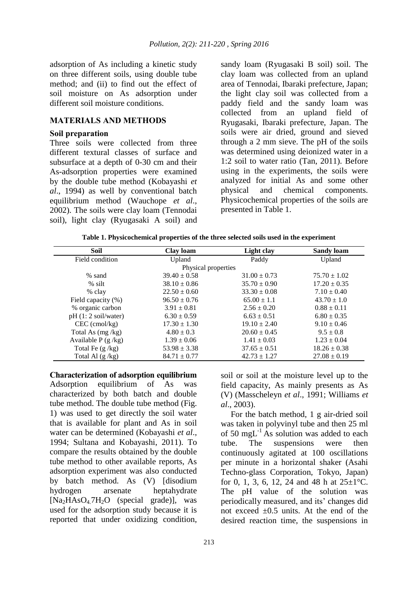adsorption of As including a kinetic study on three different soils, using double tube method; and (ii) to find out the effect of soil moisture on As adsorption under different soil moisture conditions.

# **MATERIALS AND METHODS**

# **Soil preparation**

Three soils were collected from three different textural classes of surface and subsurface at a depth of 0-30 cm and their As-adsorption properties were examined by the double tube method (Kobayashi *et al*., 1994) as well by conventional batch equilibrium method (Wauchope *et al*., 2002). The soils were clay loam (Tennodai soil), light clay (Ryugasaki A soil) and

sandy loam (Ryugasaki B soil) soil. The clay loam was collected from an upland area of Tennodai, Ibaraki prefecture, Japan; the light clay soil was collected from a paddy field and the sandy loam was collected from an upland field of Ryugasaki, Ibaraki prefecture, Japan. The soils were air dried, ground and sieved through a 2 mm sieve. The pH of the soils was determined using deionized water in a 1:2 soil to water ratio (Tan, 2011). Before using in the experiments, the soils were analyzed for initial As and some other physical and chemical components. Physicochemical properties of the soils are presented in Table 1.

**Table 1. Physicochemical properties of the three selected soils used in the experiment**

| <b>Soil</b>           | Clay loam        | Light clay       | <b>Sandy loam</b> |  |  |  |  |  |
|-----------------------|------------------|------------------|-------------------|--|--|--|--|--|
| Field condition       | Upland           | Paddy            | Upland            |  |  |  |  |  |
| Physical properties   |                  |                  |                   |  |  |  |  |  |
| $%$ sand              | $39.40 \pm 0.58$ | $31.00 \pm 0.73$ | $75.70 \pm 1.02$  |  |  |  |  |  |
| $%$ silt              | $38.10 \pm 0.86$ | $35.70 \pm 0.90$ | $17.20 \pm 0.35$  |  |  |  |  |  |
| % clay                | $22.50 \pm 0.60$ | $33.30 \pm 0.08$ | $7.10 \pm 0.40$   |  |  |  |  |  |
| Field capacity (%)    | $96.50 \pm 0.76$ | $65.00 \pm 1.1$  | $43.70 \pm 1.0$   |  |  |  |  |  |
| % organic carbon      | $3.91 \pm 0.81$  | $2.56 \pm 0.20$  | $0.88 \pm 0.11$   |  |  |  |  |  |
| $pH(1:2)$ soil/water) | $6.30 \pm 0.59$  | $6.63 \pm 0.51$  | $6.80 \pm 0.35$   |  |  |  |  |  |
| $CEC$ (cmol/kg)       | $17.30 \pm 1.30$ | $19.10 \pm 2.40$ | $9.10 \pm 0.46$   |  |  |  |  |  |
| Total As $(mg/kg)$    | $4.80 \pm 0.3$   | $20.60 \pm 0.45$ | $9.5 \pm 0.8$     |  |  |  |  |  |
| Available $P(g/kg)$   | $1.39 \pm 0.06$  | $1.41 \pm 0.03$  | $1.23 \pm 0.04$   |  |  |  |  |  |
| Total Fe $(g / kg)$   | $53.98 \pm 3.38$ | $37.65 \pm 0.51$ | $18.26 \pm 0.38$  |  |  |  |  |  |
| Total Al $(g/kg)$     | $84.71 \pm 0.77$ | $42.73 \pm 1.27$ | $27.08 \pm 0.19$  |  |  |  |  |  |

**Characterization of adsorption equilibrium** Adsorption equilibrium of As was characterized by both batch and double tube method. The double tube method (Fig. 1) was used to get directly the soil water that is available for plant and As in soil water can be determined (Kobayashi *et al*., 1994; Sultana and Kobayashi, 2011). To compare the results obtained by the double tube method to other available reports, As adsorption experiment was also conducted by batch method. As (V) [disodium hydrogen arsenate heptahydrate  $[Na_2HAsO_4.7H_2O$  (special grade)], was used for the adsorption study because it is reported that under oxidizing condition,

soil or soil at the moisture level up to the field capacity, As mainly presents as As (V) (Masscheleyn *et al*., 1991; Williams *et al*., 2003).

For the batch method, 1 g air-dried soil was taken in polyvinyl tube and then 25 ml of 50 mg $L^{-1}$  As solution was added to each tube. The suspensions were then continuously agitated at 100 oscillations per minute in a horizontal shaker (Asahi Techno-glass Corporation, Tokyo, Japan) for 0, 1, 3, 6, 12, 24 and 48 h at  $25 \pm 1^{\circ}$ C. The pH value of the solution was periodically measured, and its' changes did not exceed  $\pm 0.5$  units. At the end of the desired reaction time, the suspensions in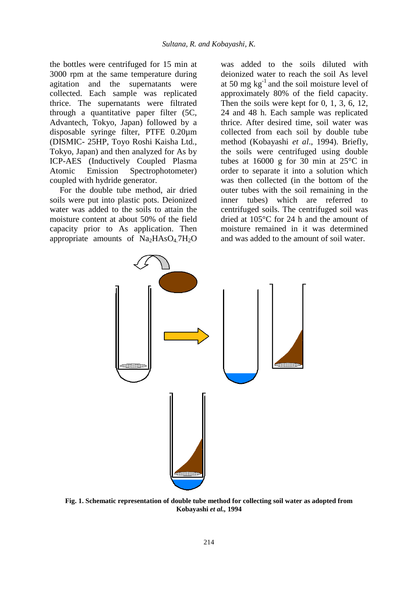the bottles were centrifuged for 15 min at 3000 rpm at the same temperature during agitation and the supernatants were collected. Each sample was replicated thrice. The supernatants were filtrated through a quantitative paper filter (5C, Advantech, Tokyo, Japan) followed by a disposable syringe filter, PTFE 0.20µm (DISMIC- 25HP, Toyo Roshi Kaisha Ltd., Tokyo, Japan) and then analyzed for As by ICP-AES (Inductively Coupled Plasma Atomic Emission Spectrophotometer) coupled with hydride generator.

For the double tube method, air dried soils were put into plastic pots. Deionized water was added to the soils to attain the moisture content at about 50% of the field capacity prior to As application. Then appropriate amounts of  $Na<sub>2</sub>HAsO<sub>4</sub>7H<sub>2</sub>O$ 

was added to the soils diluted with deionized water to reach the soil As level at 50 mg  $kg^{-1}$  and the soil moisture level of approximately 80% of the field capacity. Then the soils were kept for 0, 1, 3, 6, 12, 24 and 48 h. Each sample was replicated thrice. After desired time, soil water was collected from each soil by double tube method (Kobayashi *et al*., 1994). Briefly, the soils were centrifuged using double tubes at  $16000 \text{ g}$  for 30 min at  $25^{\circ}$ C in order to separate it into a solution which was then collected (in the bottom of the outer tubes with the soil remaining in the inner tubes) which are referred to centrifuged soils. The centrifuged soil was dried at 105°C for 24 h and the amount of moisture remained in it was determined and was added to the amount of soil water.



**Fig. 1. Schematic representation of double tube method for collecting soil water as adopted from Kobayashi** *et al.,* **1994**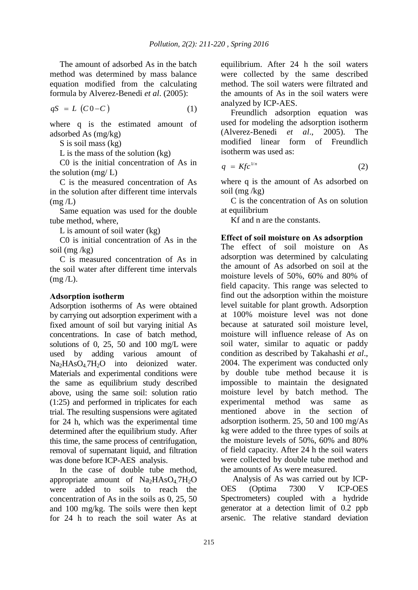The amount of adsorbed As in the batch method was determined by mass balance equation modified from the calculating formula by Alverez-Benedi *et al*. (2005):

$$
qS = L(C0-C)
$$
 (1)

where q is the estimated amount of adsorbed As (mg/kg)

S is soil mass (kg)

L is the mass of the solution (kg)

C0 is the initial concentration of As in the solution  $(mg/L)$ 

C is the measured concentration of As in the solution after different time intervals  $(mg/L)$ 

Same equation was used for the double tube method, where,

L is amount of soil water (kg)

C0 is initial concentration of As in the soil (mg /kg)

C is measured concentration of As in the soil water after different time intervals  $(mg/L)$ .

# **Adsorption isotherm**

Adsorption isotherms of As were obtained by carrying out adsorption experiment with a fixed amount of soil but varying initial As concentrations. In case of batch method, solutions of 0, 25, 50 and 100 mg/L were used by adding various amount of  $Na<sub>2</sub>HAsO<sub>4</sub>7H<sub>2</sub>O$  into deionized water. Materials and experimental conditions were the same as equilibrium study described above, using the same soil: solution ratio (1:25) and performed in triplicates for each trial. The resulting suspensions were agitated for 24 h, which was the experimental time determined after the equilibrium study. After this time, the same process of centrifugation, removal of supernatant liquid, and filtration was done before ICP-AES analysis.

In the case of double tube method, appropriate amount of  $Na<sub>2</sub>HAsO<sub>4</sub>7H<sub>2</sub>O$ were added to soils to reach the concentration of As in the soils as 0, 25, 50 and 100 mg/kg. The soils were then kept for 24 h to reach the soil water As at equilibrium. After 24 h the soil waters were collected by the same described method. The soil waters were filtrated and the amounts of As in the soil waters were analyzed by ICP-AES.

Freundlich adsorption equation was used for modeling the adsorption isotherm (Alverez-Benedi *et al*., 2005). The modified linear form of Freundlich isotherm was used as:

$$
q = K f c^{1/n} \tag{2}
$$

where q is the amount of As adsorbed on soil (mg /kg)

C is the concentration of As on solution at equilibrium

Kf and n are the constants.

# **Effect of soil moisture on As adsorption**

The effect of soil moisture on As adsorption was determined by calculating the amount of As adsorbed on soil at the moisture levels of 50%, 60% and 80% of field capacity. This range was selected to find out the adsorption within the moisture level suitable for plant growth. Adsorption at 100% moisture level was not done because at saturated soil moisture level, moisture will influence release of As on soil water, similar to aquatic or paddy condition as described by Takahashi *et al*., 2004. The experiment was conducted only by double tube method because it is impossible to maintain the designated moisture level by batch method. The experimental method was same as mentioned above in the section of adsorption isotherm. 25, 50 and 100 mg/As kg were added to the three types of soils at the moisture levels of 50%, 60% and 80% of field capacity. After 24 h the soil waters were collected by double tube method and the amounts of As were measured.

Analysis of As was carried out by ICP-OES (Optima 7300 V ICP-OES Spectrometers) coupled with a hydride generator at a detection limit of 0.2 ppb arsenic. The relative standard deviation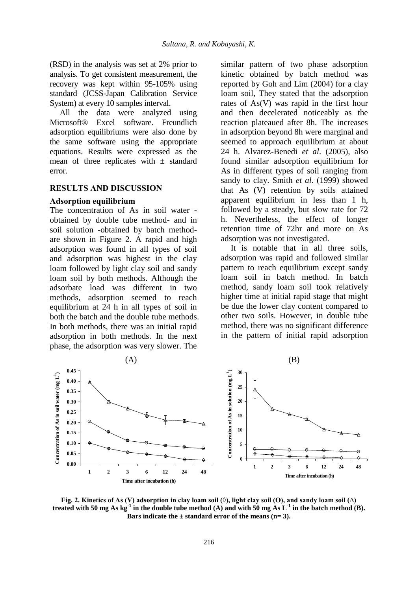(RSD) in the analysis was set at 2% prior to analysis. To get consistent measurement, the recovery was kept within 95-105% using standard (JCSS-Japan Calibration Service System) at every 10 samples interval.

All the data were analyzed using Microsoft® Excel software. Freundlich adsorption equilibriums were also done by the same software using the appropriate equations. Results were expressed as the mean of three replicates with  $\pm$  standard error.

# **RESULTS AND DISCUSSION**

#### **Adsorption equilibrium**

The concentration of As in soil water obtained by double tube method- and in soil solution -obtained by batch methodare shown in Figure 2. A rapid and high adsorption was found in all types of soil and adsorption was highest in the clay loam followed by light clay soil and sandy loam soil by both methods. Although the adsorbate load was different in two methods, adsorption seemed to reach equilibrium at 24 h in all types of soil in both the batch and the double tube methods. In both methods, there was an initial rapid adsorption in both methods. In the next phase, the adsorption was very slower. The

similar pattern of two phase adsorption kinetic obtained by batch method was reported by Goh and Lim (2004) for a clay loam soil, They stated that the adsorption rates of As(V) was rapid in the first hour and then decelerated noticeably as the reaction plateaued after 8h. The increases in adsorption beyond 8h were marginal and seemed to approach equilibrium at about 24 h. Alvarez-Benedi *et al*. (2005), also found similar adsorption equilibrium for As in different types of soil ranging from sandy to clay. Smith *et al*. (1999) showed that As (V) retention by soils attained apparent equilibrium in less than 1 h, followed by a steady, but slow rate for 72 h. Nevertheless, the effect of longer retention time of 72hr and more on As adsorption was not investigated.

It is notable that in all three soils, adsorption was rapid and followed similar pattern to reach equilibrium except sandy loam soil in batch method. In batch method, sandy loam soil took relatively higher time at initial rapid stage that might be due the lower clay content compared to other two soils. However, in double tube method, there was no significant difference in the pattern of initial rapid adsorption



**Fig.** 2. Kinetics of As (V) adsorption in clay loam soil (◊), light clay soil (○), and sandy loam soil (△) **treated with 50 mg As kg<sup>-1</sup>** in the double tube method (A) and with 50 mg As  $L^{-1}$  in the batch method (B). Bars indicate the  $\pm$  standard error of the means (n= 3).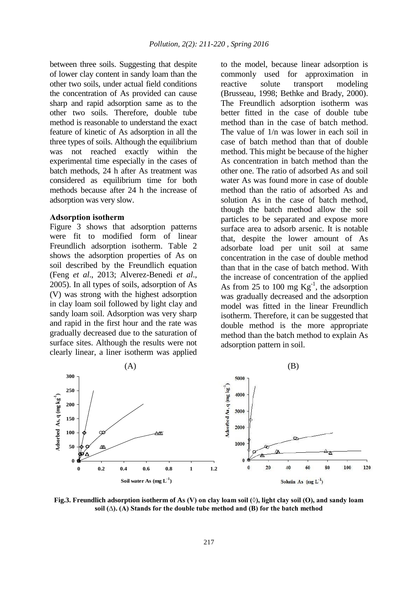between three soils. Suggesting that despite of lower clay content in sandy loam than the other two soils, under actual field conditions the concentration of As provided can cause sharp and rapid adsorption same as to the other two soils. Therefore, double tube method is reasonable to understand the exact feature of kinetic of As adsorption in all the three types of soils. Although the equilibrium was not reached exactly within the experimental time especially in the cases of batch methods, 24 h after As treatment was considered as equilibrium time for both methods because after 24 h the increase of adsorption was very slow.

## **Adsorption isotherm**

Figure 3 shows that adsorption patterns were fit to modified form of linear Freundlich adsorption isotherm. Table 2 shows the adsorption properties of As on soil described by the Freundlich equation (Feng *et al*., 2013; Alverez-Benedi *et al*., 2005). In all types of soils, adsorption of As (V) was strong with the highest adsorption in clay loam soil followed by light clay and sandy loam soil. Adsorption was very sharp and rapid in the first hour and the rate was gradually decreased due to the saturation of surface sites. Although the results were not clearly linear, a liner isotherm was applied

to the model, because linear adsorption is commonly used for approximation in reactive solute transport modeling (Brusseau, 1998; Bethke and Brady, 2000). The Freundlich adsorption isotherm was better fitted in the case of double tube method than in the case of batch method. The value of 1/n was lower in each soil in case of batch method than that of double method. This might be because of the higher As concentration in batch method than the other one. The ratio of adsorbed As and soil water As was found more in case of double method than the ratio of adsorbed As and solution As in the case of batch method, though the batch method allow the soil particles to be separated and expose more surface area to adsorb arsenic. It is notable that, despite the lower amount of As adsorbate load per unit soil at same concentration in the case of double method than that in the case of batch method. With the increase of concentration of the applied As from 25 to 100 mg  $\text{Kg}^{-1}$ , the adsorption was gradually decreased and the adsorption model was fitted in the linear Freundlich isotherm. Therefore, it can be suggested that double method is the more appropriate method than the batch method to explain As adsorption pattern in soil.



**Fig.3. Freundlich adsorption isotherm of As (V) on clay loam soil (◊), light clay soil (Ο), and sandy loam soil (∆). (A) Stands for the double tube method and (B) for the batch method**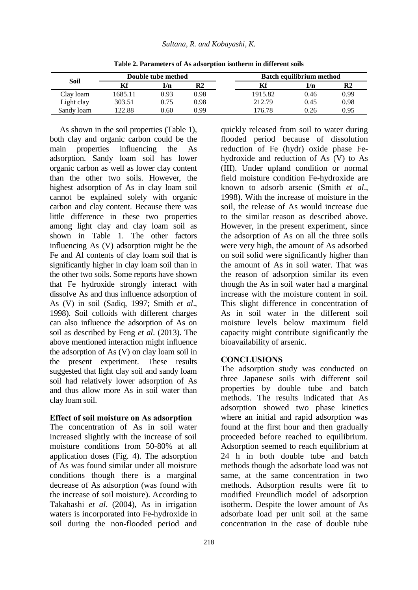| Soil       | Double tube method |      |                | <b>Batch equilibrium method</b> |      |      |
|------------|--------------------|------|----------------|---------------------------------|------|------|
|            |                    | 1/n  | R <sub>2</sub> | Kf                              | 1/n  | R2   |
| Clay loam  | 1685.11            | 0.93 | 0.98           | 1915.82                         | 0.46 | 0.99 |
| Light clay | 303.51             | 0.75 | 0.98           | 212.79                          | 0.45 | 0.98 |
| Sandy loam | 122.88             | 0.60 | 0.99           | 176.78                          | 0.26 | 0.95 |

**Table 2. Parameters of As adsorption isotherm in different soils**

As shown in the soil properties (Table 1), both clay and organic carbon could be the main properties influencing the As adsorption. Sandy loam soil has lower organic carbon as well as lower clay content than the other two soils. However, the highest adsorption of As in clay loam soil cannot be explained solely with organic carbon and clay content. Because there was little difference in these two properties among light clay and clay loam soil as shown in Table 1. The other factors influencing As (V) adsorption might be the Fe and Al contents of clay loam soil that is significantly higher in clay loam soil than in the other two soils. Some reports have shown that Fe hydroxide strongly interact with dissolve As and thus influence adsorption of As (V) in soil (Sadiq, 1997; Smith *et al*., 1998). Soil colloids with different charges can also influence the adsorption of As on soil as described by Feng *et al*. (2013). The above mentioned interaction might influence the adsorption of As (V) on clay loam soil in the present experiment. These results suggested that light clay soil and sandy loam soil had relatively lower adsorption of As and thus allow more As in soil water than clay loam soil.

## **Effect of soil moisture on As adsorption**

The concentration of As in soil water increased slightly with the increase of soil moisture conditions from 50-80% at all application doses (Fig. 4). The adsorption of As was found similar under all moisture conditions though there is a marginal decrease of As adsorption (was found with the increase of soil moisture). According to Takahashi *et al*. (2004), As in irrigation waters is incorporated into Fe-hydroxide in soil during the non-flooded period and

quickly released from soil to water during flooded period because of dissolution reduction of Fe (hydr) oxide phase Fehydroxide and reduction of As (V) to As (III). Under upland condition or normal field moisture condition Fe-hydroxide are known to adsorb arsenic (Smith *et al*., 1998). With the increase of moisture in the soil, the release of As would increase due to the similar reason as described above. However, in the present experiment, since the adsorption of As on all the three soils were very high, the amount of As adsorbed on soil solid were significantly higher than the amount of As in soil water. That was the reason of adsorption similar its even though the As in soil water had a marginal increase with the moisture content in soil. This slight difference in concentration of As in soil water in the different soil moisture levels below maximum field capacity might contribute significantly the bioavailability of arsenic.

# **CONCLUSIONS**

The adsorption study was conducted on three Japanese soils with different soil properties by double tube and batch methods. The results indicated that As adsorption showed two phase kinetics where an initial and rapid adsorption was found at the first hour and then gradually proceeded before reached to equilibrium. Adsorption seemed to reach equilibrium at 24 h in both double tube and batch methods though the adsorbate load was not same, at the same concentration in two methods. Adsorption results were fit to modified Freundlich model of adsorption isotherm. Despite the lower amount of As adsorbate load per unit soil at the same concentration in the case of double tube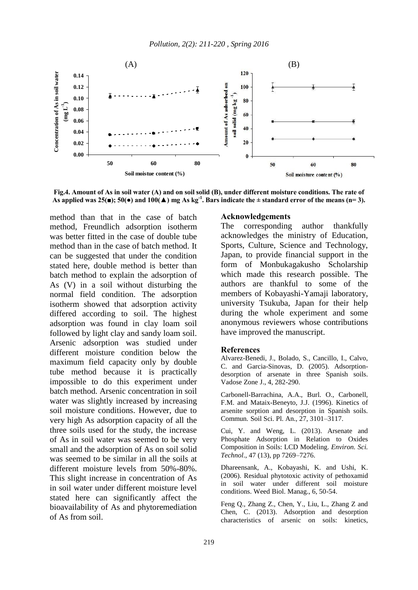

**Fig.4. Amount of As in soil water (A) and on soil solid (B), under different moisture conditions. The rate of As applied was 25(■); 50(●) and 100(▲) mg As kg-1 . Bars indicate the ± standard error of the means (n= 3).**

method than that in the case of batch method, Freundlich adsorption isotherm was better fitted in the case of double tube method than in the case of batch method. It can be suggested that under the condition stated here, double method is better than batch method to explain the adsorption of As (V) in a soil without disturbing the normal field condition. The adsorption isotherm showed that adsorption activity differed according to soil. The highest adsorption was found in clay loam soil followed by light clay and sandy loam soil. Arsenic adsorption was studied under different moisture condition below the maximum field capacity only by double tube method because it is practically impossible to do this experiment under batch method. Arsenic concentration in soil water was slightly increased by increasing soil moisture conditions. However, due to very high As adsorption capacity of all the three soils used for the study, the increase of As in soil water was seemed to be very small and the adsorption of As on soil solid was seemed to be similar in all the soils at different moisture levels from 50%-80%. This slight increase in concentration of As in soil water under different moisture level stated here can significantly affect the bioavailability of As and phytoremediation of As from soil.

# **Acknowledgements**

The corresponding author thankfully acknowledges the ministry of Education, Sports, Culture, Science and Technology, Japan, to provide financial support in the form of Monbukagakusho Scholarship which made this research possible. The authors are thankful to some of the members of Kobayashi-Yamaji laboratory, university Tsukuba, Japan for their help during the whole experiment and some anonymous reviewers whose contributions have improved the manuscript.

#### **References**

Alvarez-Benedi, J., Bolado, S., Cancillo, I., Calvo, C. and Garcia-Sinovas, D. (2005). Adsorptiondesorption of arsenate in three Spanish soils. Vadose Zone J., 4, 282-290.

Carbonell-Barrachina, A.A., Burl. O., Carbonell, F.M. and Mataix-Beneyto, J.J. (1996). Kinetics of arsenite sorption and desorption in Spanish soils. Commun. Soil Sci. Pl. An., 27, 3101–3117.

Cui, Y. and Weng, L. (2013). Arsenate and Phosphate Adsorption in Relation to Oxides Composition in Soils: LCD Modeling. *Environ. Sci. Technol*., 47 (13), pp 7269–7276.

Dhareensank, A., Kobayashi, K. and Ushi, K. (2006). Residual phytotoxic activity of pethoxamid in soil water under different soil moisture conditions. Weed Biol. Manag., 6, 50-54.

Feng Q., Zhang Z., Chen, Y., Liu, L., Zhang Z and Chen, C. (2013). Adsorption and desorption characteristics of arsenic on soils: kinetics,